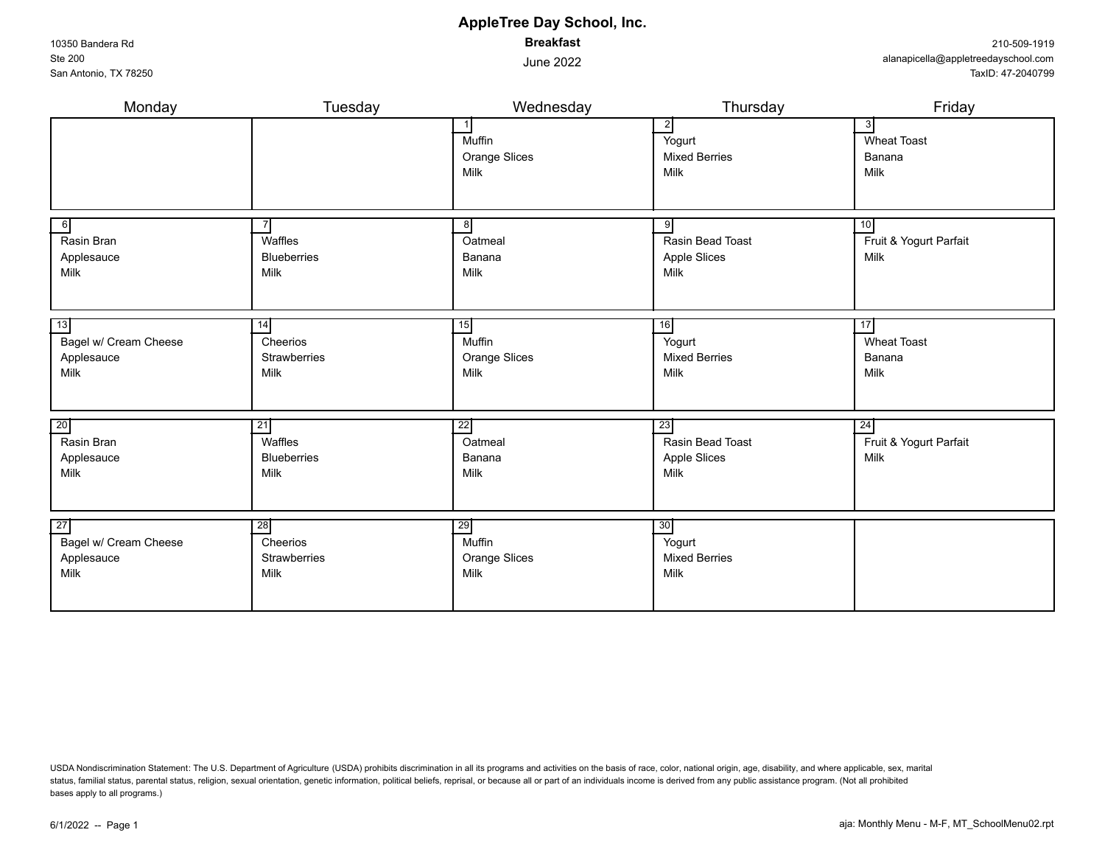status, familial status, parental status, religion, sexual orientation, genetic information, political beliefs, reprisal, or because all or part of an individuals income is derived from any public assistance program. (Not bases apply to all programs.)

### **AppleTree Day School, Inc. Breakfast**

June 2022

| Monday                                                         | Tuesday                                        | Wednesday                                                | Thursday                                               | Friday                                     |
|----------------------------------------------------------------|------------------------------------------------|----------------------------------------------------------|--------------------------------------------------------|--------------------------------------------|
|                                                                |                                                | $\overline{1}$<br>Muffin<br><b>Orange Slices</b><br>Milk | $\mathbf{2}$<br>Yogurt<br><b>Mixed Berries</b><br>Milk | 3<br><b>Wheat Toast</b><br>Banana<br>Milk  |
| $6 \mid$<br>Rasin Bran<br>Applesauce<br>Milk                   | Waffles<br><b>Blueberries</b><br>Milk          | 8<br>Oatmeal<br>Banana<br>Milk                           | 9<br>Rasin Bead Toast<br>Apple Slices<br>Milk          | 10<br>Fruit & Yogurt Parfait<br>Milk       |
| 13<br>Bagel w/ Cream Cheese<br>Applesauce<br>Milk              | 14 <br>Cheerios<br><b>Strawberries</b><br>Milk | 15<br>Muffin<br>Orange Slices<br>Milk                    | 16<br>Yogurt<br><b>Mixed Berries</b><br>Milk           | 17<br><b>Wheat Toast</b><br>Banana<br>Milk |
| 20<br>Rasin Bran<br>Applesauce<br>Milk                         | 21<br>Waffles<br><b>Blueberries</b><br>Milk    | 22<br>Oatmeal<br>Banana<br>Milk                          | 23<br>Rasin Bead Toast<br>Apple Slices<br>Milk         | 24<br>Fruit & Yogurt Parfait<br>Milk       |
| $\overline{27}$<br>Bagel w/ Cream Cheese<br>Applesauce<br>Milk | 28<br>Cheerios<br><b>Strawberries</b><br>Milk  | 29<br>Muffin<br><b>Orange Slices</b><br>Milk             | 30<br>Yogurt<br><b>Mixed Berries</b><br>Milk           |                                            |

#### 10350 Bandera Rd Ste 200 San Antonio, TX 78250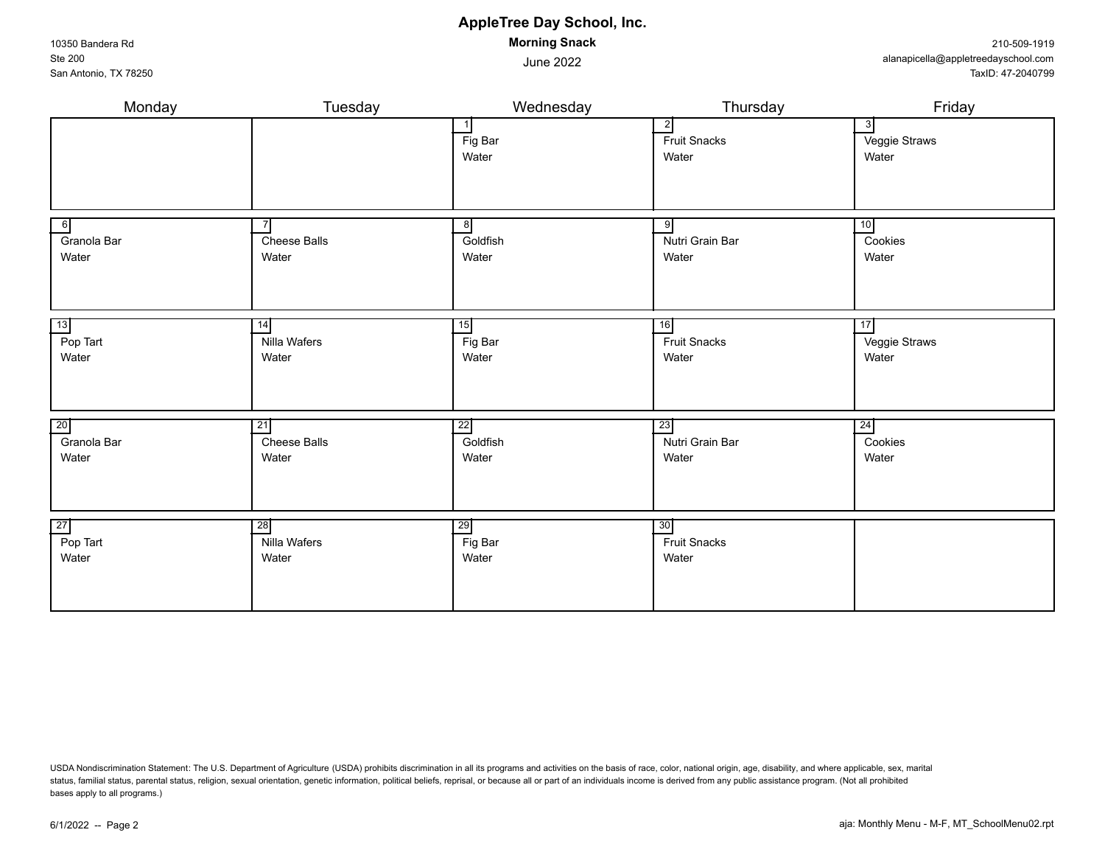| 6<br>Granola Bar<br>Water | Cheese Balls<br>Water | 8<br>Goldfish<br>Water | 9<br>Nutri Grain Bar<br>Water | 10<br>Cookies<br>Water |
|---------------------------|-----------------------|------------------------|-------------------------------|------------------------|
| 13                        | 14                    | 15                     | 16                            | 17                     |
| Pop Tart                  | Nilla Wafers          | $\overline{F}$ ig Bar  | <b>Fruit Snacks</b>           | Veggie Straws          |
| Water                     | Water                 | Water                  | Water                         | Water                  |
| 20                        | $\overline{21}$       | 22                     | 23                            | 24                     |
| Granola Bar               | Cheese Balls          | Goldfish               | Nutri Grain Bar               | Cookies                |
| Water                     | Water                 | Water                  | Water                         | Water                  |
| 27                        | 28                    | 29                     | 30                            |                        |
| Pop Tart                  | Nilla Wafers          | Fig Bar                | <b>Fruit Snacks</b>           |                        |
| Water                     | Water                 | Water                  | Water                         |                        |

USDA Nondiscrimination Statement: The U.S. Department of Agriculture (USDA) prohibits discrimination in all its programs and activities on the basis of race, color, national origin, age, disability, and where applicable, s status, familial status, parental status, religion, sexual orientation, genetic information, political beliefs, reprisal, or because all or part of an individuals income is derived from any public assistance program. (Not bases apply to all programs.)

**AppleTree Day School, Inc. Morning Snack**

June 2022

Monday Tuesday Wednesday Thursday Friday

Fig Bar Water

 $\begin{array}{ccc} 1 & 3 \\ 2 & 3 \end{array}$ 

Fruit Snacks Water

Veggie Straws Water

10350 Bandera Rd Ste 200 San Antonio, TX 78250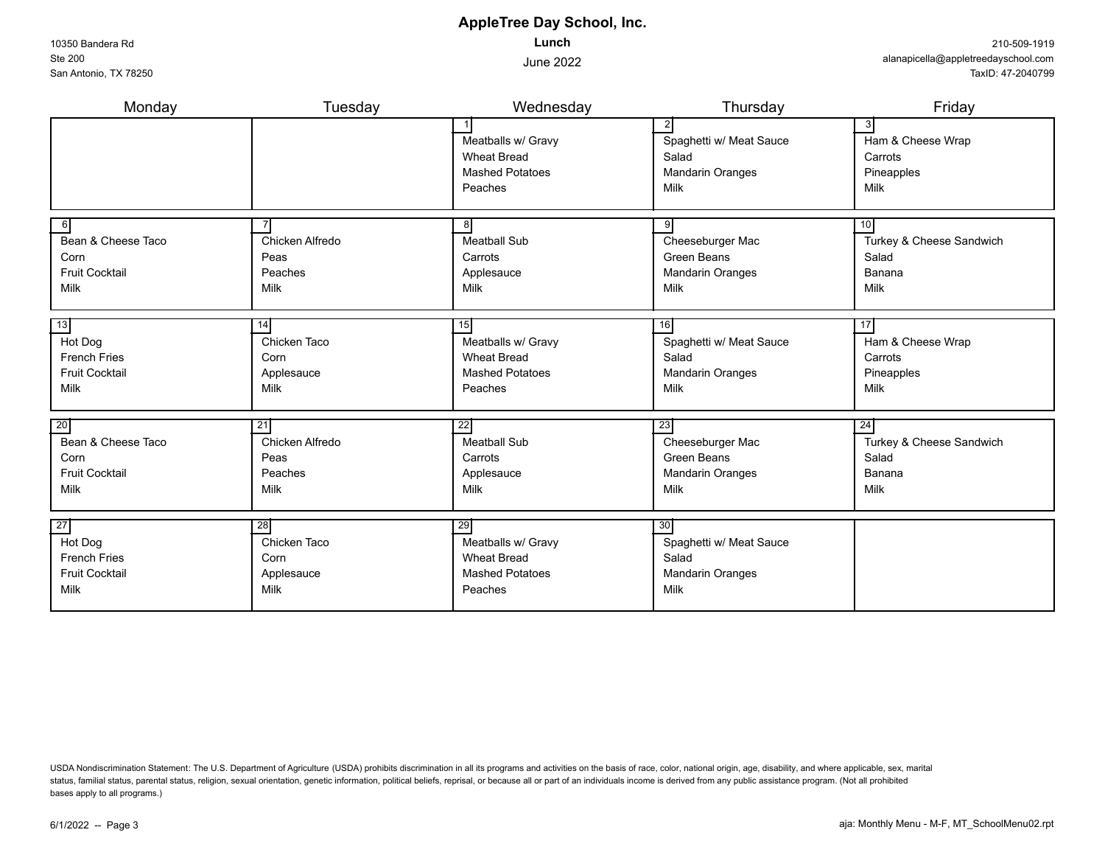10350 Bandera Rd Ste 200 San Antonio, TX 78250

## **AppleTree Day School, Inc. Lunch**

June 2022

| Monday                | Tuesday         | Wednesday              | Thursday                | Friday                   |
|-----------------------|-----------------|------------------------|-------------------------|--------------------------|
|                       |                 |                        | $\mathbf{2}$            | 3                        |
|                       |                 | Meatballs w/ Gravy     | Spaghetti w/ Meat Sauce | Ham & Cheese Wrap        |
|                       |                 | <b>Wheat Bread</b>     | Salad                   | Carrots                  |
|                       |                 | <b>Mashed Potatoes</b> | <b>Mandarin Oranges</b> | Pineapples               |
|                       |                 | Peaches                | Milk                    | Milk                     |
| $6 \mid$              |                 | 8                      |                         | 10                       |
| Bean & Cheese Taco    | Chicken Alfredo | <b>Meatball Sub</b>    | Cheeseburger Mac        | Turkey & Cheese Sandwich |
| Corn                  | Peas            | Carrots                | Green Beans             | Salad                    |
| <b>Fruit Cocktail</b> | Peaches         | Applesauce             | <b>Mandarin Oranges</b> | Banana                   |
| Milk                  | Milk            | Milk                   | Milk                    | Milk                     |
|                       |                 |                        |                         |                          |
| 13                    | 14              | 15                     | 16                      | 17                       |
| Hot Dog               | Chicken Taco    | Meatballs w/ Gravy     | Spaghetti w/ Meat Sauce | Ham & Cheese Wrap        |
| <b>French Fries</b>   | Corn            | <b>Wheat Bread</b>     | Salad                   | Carrots                  |
| <b>Fruit Cocktail</b> | Applesauce      | <b>Mashed Potatoes</b> | <b>Mandarin Oranges</b> | Pineapples               |
| Milk                  | Milk            | Peaches                | Milk                    | Milk                     |
|                       |                 |                        |                         |                          |
| 20                    | 21              | 22                     | 23                      | 24                       |
| Bean & Cheese Taco    | Chicken Alfredo | <b>Meatball Sub</b>    | Cheeseburger Mac        | Turkey & Cheese Sandwich |
| Corn                  | Peas            | Carrots                | Green Beans             | Salad                    |
| <b>Fruit Cocktail</b> | Peaches         | Applesauce             | <b>Mandarin Oranges</b> | Banana                   |
| Milk                  | Milk            | Milk                   | Milk                    | Milk                     |
|                       |                 |                        |                         |                          |
| 27                    | 28              | 29                     | 30                      |                          |
| Hot Dog               | Chicken Taco    | Meatballs w/ Gravy     | Spaghetti w/ Meat Sauce |                          |
| <b>French Fries</b>   | Corn            | <b>Wheat Bread</b>     | Salad                   |                          |
| <b>Fruit Cocktail</b> | Applesauce      | <b>Mashed Potatoes</b> | Mandarin Oranges        |                          |
| Milk                  | Milk            | Peaches                | Milk                    |                          |
|                       |                 |                        |                         |                          |

USDA Nondiscrimination Statement: The U.S. Department of Agriculture (USDA) prohibits discrimination in all its programs and activities on the basis of race, color, national origin, age, disability, and where applicable, s status, familial status, parental status, religion, sexual orientation, genetic information, political beliefs, reprisal, or because all or part of an individuals income is derived from any public assistance program. (Not bases apply to all programs.)